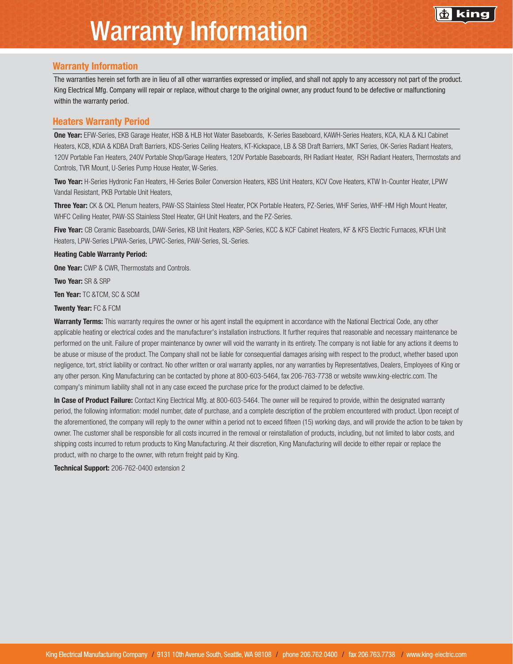## Warranty Information

### Warranty Information

The warranties herein set forth are in lieu of all other warranties expressed or implied, and shall not apply to any accessory not part of the product. King Electrical Mfg. Company will repair or replace, without charge to the original owner, any product found to be defective or malfunctioning within the warranty period.

#### Heaters Warranty Period

One Year: EFW-Series, EKB Garage Heater, HSB & HLB Hot Water Baseboards, K-Series Baseboard, KAWH-Series Heaters, KCA, KLA & KLI Cabinet Heaters, KCB, KDIA & KDBA Draft Barriers, KDS-Series Ceiling Heaters, KT-Kickspace, LB & SB Draft Barriers, MKT Series, OK-Series Radiant Heaters, 120V Portable Fan Heaters, 240V Portable Shop/Garage Heaters, 120V Portable Baseboards, RH Radiant Heater, RSH Radiant Heaters, Thermostats and Controls, TVR Mount, U-Series Pump House Heater, W-Series.

Two Year: H-Series Hydronic Fan Heaters, HI-Series Boiler Conversion Heaters, KBS Unit Heaters, KCV Cove Heaters, KTW In-Counter Heater, LPWV Vandal Resistant, PKB Portable Unit Heaters,

Three Year: CK & CKL Plenum heaters, PAW-SS Stainless Steel Heater, PCK Portable Heaters, PZ-Series, WHF Series, WHF-HM High Mount Heater, WHFC Ceiling Heater, PAW-SS Stainless Steel Heater, GH Unit Heaters, and the PZ-Series.

Five Year: CB Ceramic Baseboards, DAW-Series, KB Unit Heaters, KBP-Series, KCC & KCF Cabinet Heaters, KF & KFS Electric Furnaces, KFUH Unit Heaters, LPW-Series LPWA-Series, LPWC-Series, PAW-Series, SL-Series.

#### Heating Cable Warranty Period:

**One Year:** CWP & CWR, Thermostats and Controls.

Two Year: SR & SRP

Ten Year: TC &TCM, SC & SCM

Twenty Year: FC & FCM

Warranty Terms: This warranty requires the owner or his agent install the equipment in accordance with the National Electrical Code, any other applicable heating or electrical codes and the manufacturer's installation instructions. It further requires that reasonable and necessary maintenance be performed on the unit. Failure of proper maintenance by owner will void the warranty in its entirety. The company is not liable for any actions it deems to be abuse or misuse of the product. The Company shall not be liable for consequential damages arising with respect to the product, whether based upon negligence, tort, strict liability or contract. No other written or oral warranty applies, nor any warranties by Representatives, Dealers, Employees of King or any other person. King Manufacturing can be contacted by phone at 800-603-5464, fax 206-763-7738 or website www.king-electric.com. The company's minimum liability shall not in any case exceed the purchase price for the product claimed to be defective.

In Case of Product Failure: Contact King Electrical Mfg. at 800-603-5464. The owner will be required to provide, within the designated warranty period, the following information: model number, date of purchase, and a complete description of the problem encountered with product. Upon receipt of the aforementioned, the company will reply to the owner within a period not to exceed fifteen (15) working days, and will provide the action to be taken by owner. The customer shall be responsible for all costs incurred in the removal or reinstallation of products, including, but not limited to labor costs, and shipping costs incurred to return products to King Manufacturing. At their discretion, King Manufacturing will decide to either repair or replace the product, with no charge to the owner, with return freight paid by King.

Technical Support: 206-762-0400 extension 2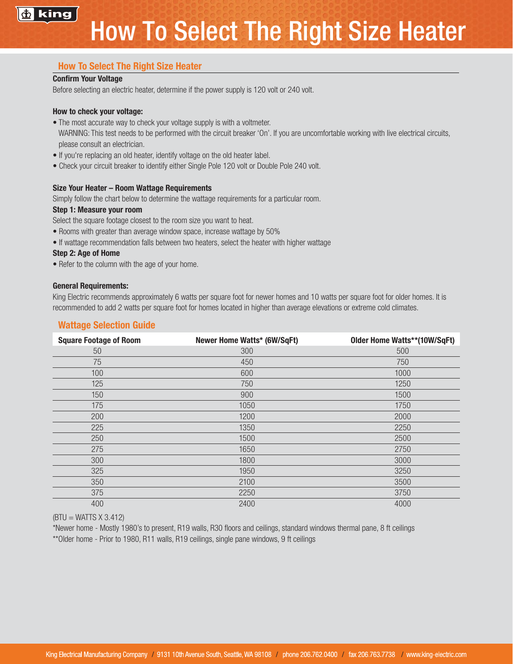

## How To Select The Right Size Heater

## Confirm Your Voltage

Before selecting an electric heater, determine if the power supply is 120 volt or 240 volt.

## How to check your voltage:

- The most accurate way to check your voltage supply is with a voltmeter.
- WARNING: This test needs to be performed with the circuit breaker 'On'. If you are uncomfortable working with live electrical circuits, please consult an electrician.
- If you're replacing an old heater, identify voltage on the old heater label.
- Check your circuit breaker to identify either Single Pole 120 volt or Double Pole 240 volt.

## Size Your Heater – Room Wattage Requirements

Simply follow the chart below to determine the wattage requirements for a particular room.

### Step 1: Measure your room

Select the square footage closest to the room size you want to heat.

- Rooms with greater than average window space, increase wattage by 50%
- If wattage recommendation falls between two heaters, select the heater with higher wattage

## Step 2: Age of Home

• Refer to the column with the age of your home.

## General Requirements:

King Electric recommends approximately 6 watts per square foot for newer homes and 10 watts per square foot for older homes. It is recommended to add 2 watts per square foot for homes located in higher than average elevations or extreme cold climates.

## Wattage Selection Guide

| <b>Square Footage of Room</b> | Newer Home Watts* (6W/SqFt) | Older Home Watts**(10W/SqFt) |
|-------------------------------|-----------------------------|------------------------------|
| 50                            | 300                         | 500                          |
| 75                            | 450                         | 750                          |
| 100                           | 600                         | 1000                         |
| 125                           | 750                         | 1250                         |
| 150                           | 900                         | 1500                         |
| 175                           | 1050                        | 1750                         |
| 200                           | 1200                        | 2000                         |
| 225                           | 1350                        | 2250                         |
| 250                           | 1500                        | 2500                         |
| 275                           | 1650                        | 2750                         |
| 300                           | 1800                        | 3000                         |
| 325                           | 1950                        | 3250                         |
| 350                           | 2100                        | 3500                         |
| 375                           | 2250                        | 3750                         |
| 400                           | 2400                        | 4000                         |

 $(BTU = WATTS X 3.412)$ 

\*Newer home - Mostly 1980's to present, R19 walls, R30 floors and ceilings, standard windows thermal pane, 8 ft ceilings \*\*Older home - Prior to 1980, R11 walls, R19 ceilings, single pane windows, 9 ft ceilings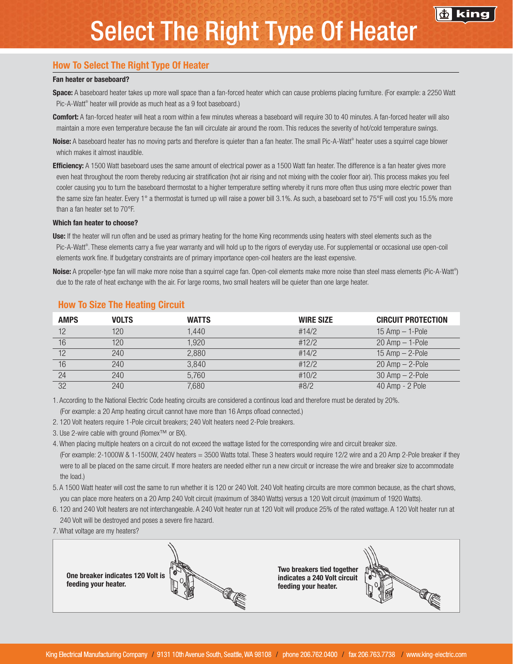# Select The Right Type Of Heater

## How To Select The Right Type Of Heater

#### Fan heater or baseboard?

Space: A baseboard heater takes up more wall space than a fan-forced heater which can cause problems placing furniture. (For example: a 2250 Watt Pic-A-Watt® heater will provide as much heat as a 9 foot baseboard.)

Comfort: A fan-forced heater will heat a room within a few minutes whereas a baseboard will require 30 to 40 minutes. A fan-forced heater will also maintain a more even temperature because the fan will circulate air around the room. This reduces the severity of hot/cold temperature swings.

Noise: A baseboard heater has no moving parts and therefore is quieter than a fan heater. The small Pic-A-Watt® heater uses a squirrel cage blower which makes it almost inaudible.

**Efficiency:** A 1500 Watt baseboard uses the same amount of electrical power as a 1500 Watt fan heater. The difference is a fan heater gives more even heat throughout the room thereby reducing air stratification (hot air rising and not mixing with the cooler floor air). This process makes you feel cooler causing you to turn the baseboard thermostat to a higher temperature setting whereby it runs more often thus using more electric power than the same size fan heater. Every 1° a thermostat is turned up will raise a power bill 3.1%. As such, a baseboard set to 75°F will cost you 15.5% more than a fan heater set to 70°F.

#### Which fan heater to choose?

Use: If the heater will run often and be used as primary heating for the home King recommends using heaters with steel elements such as the Pic-A-Watt®. These elements carry a five year warranty and will hold up to the rigors of everyday use. For supplemental or occasional use open-coil elements work fine. If budgetary constraints are of primary importance open-coil heaters are the least expensive.

Noise: A propeller-type fan will make more noise than a squirrel cage fan. Open-coil elements make more noise than steel mass elements (Pic-A-Watt®) due to the rate of heat exchange with the air. For large rooms, two small heaters will be quieter than one large heater.

| <b>AMPS</b> | <b>VOLTS</b> | <b>WATTS</b> | <b>WIRE SIZE</b> | <b>CIRCUIT PROTECTION</b> |
|-------------|--------------|--------------|------------------|---------------------------|
| 12          | 120          | 1.440        | #14/2            | $15$ Amp $-$ 1-Pole       |
| 16          | 120          | 1.920        | #12/2            | $20$ Amp $-$ 1-Pole       |
| 12          | 240          | 2,880        | #14/2            | $15$ Amp $-$ 2-Pole       |
| 16          | 240          | 3,840        | #12/2            | $20$ Amp $-$ 2-Pole       |
| 24          | 240          | 5,760        | #10/2            | $30$ Amp $-$ 2-Pole       |
| 32          | 240          | 7,680        | #8/2             | 40 Amp - 2 Pole           |

#### How To Size The Heating Circuit

1. According to the National Electric Code heating circuits are considered a continous load and therefore must be derated by 20%. (For example: a 20 Amp heating circuit cannot have more than 16 Amps ofload connected.)

2. 120 Volt heaters require 1-Pole circuit breakers; 240 Volt heaters need 2-Pole breakers.

3. Use 2-wire cable with ground (Romex™ or BX).

4. When placing multiple heaters on a circuit do not exceed the wattage listed for the corresponding wire and circuit breaker size. (For example: 2-1000W & 1-1500W, 240V heaters = 3500 Watts total. These 3 heaters would require 12/2 wire and a 20 Amp 2-Pole breaker if they were to all be placed on the same circuit. If more heaters are needed either run a new circuit or increase the wire and breaker size to accommodate the load.)

5. A 1500 Watt heater will cost the same to run whether it is 120 or 240 Volt. 240 Volt heating circuits are more common because, as the chart shows, you can place more heaters on a 20 Amp 240 Volt circuit (maximum of 3840 Watts) versus a 120 Volt circuit (maximum of 1920 Watts).

- 6. 120 and 240 Volt heaters are not interchangeable. A 240 Volt heater run at 120 Volt will produce 25% of the rated wattage. A 120 Volt heater run at 240 Volt will be destroyed and poses a severe fire hazard.
- 7. What voltage are my heaters?

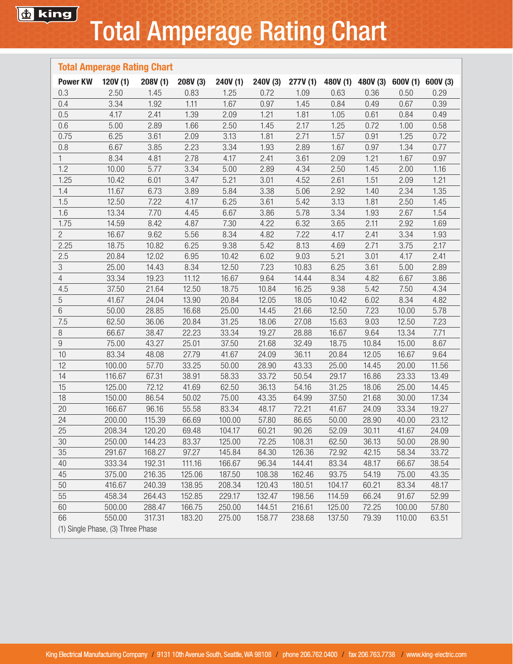# Total Amperage Rating Chart

| <b>Total Amperage Rating Chart</b> |         |         |          |          |          |          |        |                                     |        |       |
|------------------------------------|---------|---------|----------|----------|----------|----------|--------|-------------------------------------|--------|-------|
| <b>Power KW</b>                    | 120V(1) | 208V(1) | 208V (3) | 240V (1) | 240V (3) | 277V (1) |        | 480V (1) 480V (3) 600V (1) 600V (3) |        |       |
| 0.3                                | 2.50    | 1.45    | 0.83     | 1.25     | 0.72     | 1.09     | 0.63   | 0.36                                | 0.50   | 0.29  |
| 0.4                                | 3.34    | 1.92    | 1.11     | 1.67     | 0.97     | 1.45     | 0.84   | 0.49                                | 0.67   | 0.39  |
| 0.5                                | 4.17    | 2.41    | 1.39     | 2.09     | 1.21     | 1.81     | 1.05   | 0.61                                | 0.84   | 0.49  |
| 0.6                                | 5.00    | 2.89    | 1.66     | 2.50     | 1.45     | 2.17     | 1.25   | 0.72                                | 1.00   | 0.58  |
| 0.75                               | 6.25    | 3.61    | 2.09     | 3.13     | 1.81     | 2.71     | 1.57   | 0.91                                | 1.25   | 0.72  |
| 0.8                                | 6.67    | 3.85    | 2.23     | 3.34     | 1.93     | 2.89     | 1.67   | 0.97                                | 1.34   | 0.77  |
| $\mathbf{1}$                       | 8.34    | 4.81    | 2.78     | 4.17     | 2.41     | 3.61     | 2.09   | 1.21                                | 1.67   | 0.97  |
| 1.2                                | 10.00   | 5.77    | 3.34     | 5.00     | 2.89     | 4.34     | 2.50   | 1.45                                | 2.00   | 1.16  |
| 1.25                               | 10.42   | 6.01    | 3.47     | 5.21     | 3.01     | 4.52     | 2.61   | 1.51                                | 2.09   | 1.21  |
| 1.4                                | 11.67   | 6.73    | 3.89     | 5.84     | 3.38     | 5.06     | 2.92   | 1.40                                | 2.34   | 1.35  |
| 1.5                                | 12.50   | 7.22    | 4.17     | 6.25     | 3.61     | 5.42     | 3.13   | 1.81                                | 2.50   | 1.45  |
| 1.6                                | 13.34   | 7.70    | 4.45     | 6.67     | 3.86     | 5.78     | 3.34   | 1.93                                | 2.67   | 1.54  |
| 1.75                               | 14.59   | 8.42    | 4.87     | 7.30     | 4.22     | 6.32     | 3.65   | 2.11                                | 2.92   | 1.69  |
| $\overline{2}$                     | 16.67   | 9.62    | 5.56     | 8.34     | 4.82     | 7.22     | 4.17   | 2.41                                | 3.34   | 1.93  |
| 2.25                               | 18.75   | 10.82   | 6.25     | 9.38     | 5.42     | 8.13     | 4.69   | 2.71                                | 3.75   | 2.17  |
| 2.5                                | 20.84   | 12.02   | 6.95     | 10.42    | 6.02     | 9.03     | 5.21   | 3.01                                | 4.17   | 2.41  |
| $\sqrt{3}$                         | 25.00   | 14.43   | 8.34     | 12.50    | 7.23     | 10.83    | 6.25   | 3.61                                | 5.00   | 2.89  |
| $\overline{4}$                     | 33.34   | 19.23   | 11.12    | 16.67    | 9.64     | 14.44    | 8.34   | 4.82                                | 6.67   | 3.86  |
| 4.5                                | 37.50   | 21.64   | 12.50    | 18.75    | 10.84    | 16.25    | 9.38   | 5.42                                | 7.50   | 4.34  |
| 5                                  | 41.67   | 24.04   | 13.90    | 20.84    | 12.05    | 18.05    | 10.42  | 6.02                                | 8.34   | 4.82  |
| 6                                  | 50.00   | 28.85   | 16.68    | 25.00    | 14.45    | 21.66    | 12.50  | 7.23                                | 10.00  | 5.78  |
| 7.5                                | 62.50   | 36.06   | 20.84    | 31.25    | 18.06    | 27.08    | 15.63  | 9.03                                | 12.50  | 7.23  |
| 8                                  | 66.67   | 38.47   | 22.23    | 33.34    | 19.27    | 28.88    | 16.67  | 9.64                                | 13.34  | 7.71  |
| $\boldsymbol{9}$                   | 75.00   | 43.27   | 25.01    | 37.50    | 21.68    | 32.49    | 18.75  | 10.84                               | 15.00  | 8.67  |
| 10                                 | 83.34   | 48.08   | 27.79    | 41.67    | 24.09    | 36.11    | 20.84  | 12.05                               | 16.67  | 9.64  |
| 12                                 | 100.00  | 57.70   | 33.25    | 50.00    | 28.90    | 43.33    | 25.00  | 14.45                               | 20.00  | 11.56 |
| 14                                 | 116.67  | 67.31   | 38.91    | 58.33    | 33.72    | 50.54    | 29.17  | 16.86                               | 23.33  | 13.49 |
| 15                                 | 125.00  | 72.12   | 41.69    | 62.50    | 36.13    | 54.16    | 31.25  | 18.06                               | 25.00  | 14.45 |
| 18                                 | 150.00  | 86.54   | 50.02    | 75.00    | 43.35    | 64.99    | 37.50  | 21.68                               | 30.00  | 17.34 |
| 20                                 | 166.67  | 96.16   | 55.58    | 83.34    | 48.17    | 72.21    | 41.67  | 24.09                               | 33.34  | 19.27 |
| 24                                 | 200.00  | 115.39  | 66.69    | 100.00   | 57.80    | 86.65    | 50.00  | 28.90                               | 40.00  | 23.12 |
| 25                                 | 208.34  | 120.20  | 69.48    | 104.17   | 60.21    | 90.26    | 52.09  | 30.11                               | 41.67  | 24.09 |
| 30                                 | 250.00  | 144.23  | 83.37    | 125.00   | 72.25    | 108.31   | 62.50  | 36.13                               | 50.00  | 28.90 |
| 35                                 | 291.67  | 168.27  | 97.27    | 145.84   | 84.30    | 126.36   | 72.92  | 42.15                               | 58.34  | 33.72 |
| 40                                 | 333.34  | 192.31  | 111.16   | 166.67   | 96.34    | 144.41   | 83.34  | 48.17                               | 66.67  | 38.54 |
| 45                                 | 375.00  | 216.35  | 125.06   | 187.50   | 108.38   | 162.46   | 93.75  | 54.19                               | 75.00  | 43.35 |
| 50                                 | 416.67  | 240.39  | 138.95   | 208.34   | 120.43   | 180.51   | 104.17 | 60.21                               | 83.34  | 48.17 |
| 55                                 | 458.34  | 264.43  | 152.85   | 229.17   | 132.47   | 198.56   | 114.59 | 66.24                               | 91.67  | 52.99 |
| 60                                 | 500.00  | 288.47  | 166.75   | 250.00   | 144.51   | 216.61   | 125.00 | 72.25                               | 100.00 | 57.80 |
| 66                                 | 550.00  | 317.31  | 183.20   | 275.00   | 158.77   | 238.68   | 137.50 | 79.39                               | 110.00 | 63.51 |
| (1) Single Phase, (3) Three Phase  |         |         |          |          |          |          |        |                                     |        |       |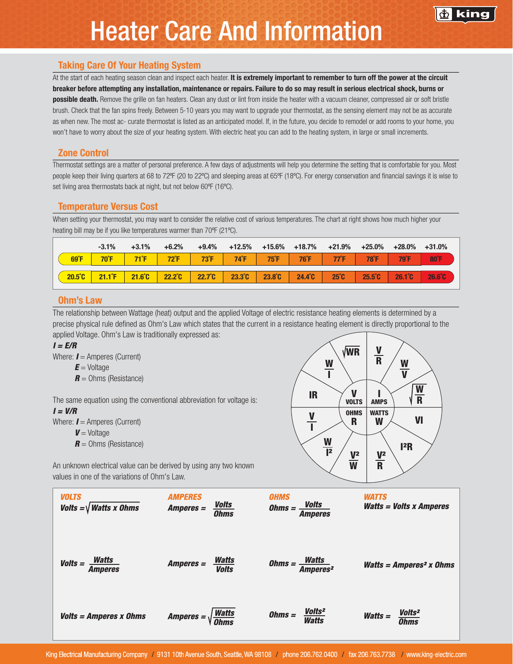## Heater Care And Information

### Taking Care Of Your Heating System

At the start of each heating season clean and inspect each heater. It is extremely important to remember to turn off the power at the circuit breaker before attempting any installation, maintenance or repairs. Failure to do so may result in serious electrical shock, burns or

possible death. Remove the grille on fan heaters. Clean any dust or lint from inside the heater with a vacuum cleaner, compressed air or soft bristle brush. Check that the fan spins freely. Between 5-10 years you may want to upgrade your thermostat, as the sensing element may not be as accurate as when new. The most ac- curate thermostat is listed as an anticipated model. If, in the future, you decide to remodel or add rooms to your home, you won't have to worry about the size of your heating system. With electric heat you can add to the heating system, in large or small increments.

### Zone Control

Thermostat settings are a matter of personal preference. A few days of adjustments will help you determine the setting that is comfortable for you. Most people keep their living quarters at 68 to 72ºF (20 to 22ºC) and sleeping areas at 65ºF (18ºC). For energy conservation and financial savings it is wise to set living area thermostats back at night, but not below 60°F (16°C).

### Temperature Versus Cost

When setting your thermostat, you may want to consider the relative cost of various temperatures. The chart at right shows how much higher your heating bill may be if you like temperatures warmer than 70ºF (21ºC).

|                  | $-3.1%$             | $+3.1%$          | $+6.2%$          | $+9.4%$         | $+12.5%$       | +15.6%         | +18.7%         | +21.9%         | $+25.0\%$        | $+28.0\%$        | $+31.0\%$        |
|------------------|---------------------|------------------|------------------|-----------------|----------------|----------------|----------------|----------------|------------------|------------------|------------------|
| $69^{\circ}F$    | $70^{\circ}$ F      | $71^{\circ}F$    | $72^{\circ}$ F   | $-73^{\circ}$ F | $74^{\circ}$ F | $75^{\circ}$ F | $76^{\circ}$ F | $77^{\circ}$ F | 78°F             | <b>79F</b>       | <b>80°F</b>      |
| $20.5^{\circ}$ C | 21.1 <sup>°</sup> F | $21.6^{\circ}$ C | $22.2^{\circ}$ C | $22.7^\circ$ C  | $23.3^\circ$ C | $23.8^\circ$ C | $24.4^\circ$ C | $25^\circ$ C   | $25.5^{\circ}$ C | $26.1^{\circ}$ C | $26.6^{\circ}$ C |

## Ohm's Law

The relationship between Wattage (heat) output and the applied Voltage of electric resistance heating elements is determined by a precise physical rule defined as Ohm's Law which states that the current in a resistance heating element is directly proportional to the applied Voltage. Ohm's Law is traditionally expressed as:

#### *I = E/R*

Where: *I* = Amperes (Current)

- $E =$  Voltage
- *R* = Ohms (Resistance)

The same equation using the conventional abbreviation for voltage is: *I = V/R*

Where:  $I =$  Amperes (Current)

- *V* = Voltage
- $R =$  Ohms (Resistance)



An unknown electrical value can be derived by using any two known values in one of the variations of Ohm's Law.

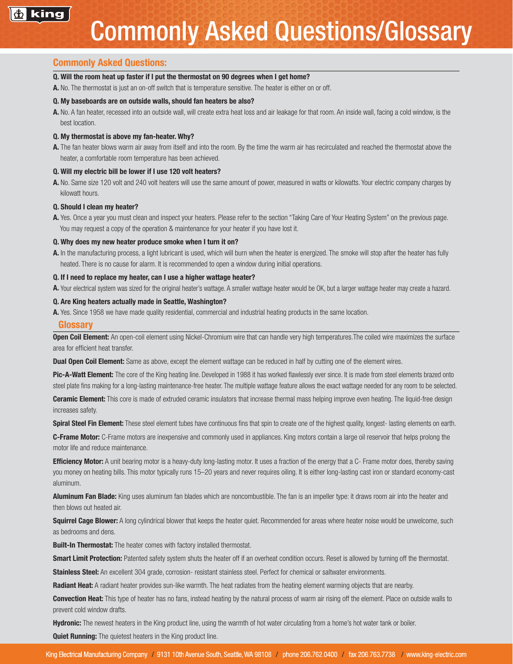#### Commonly Asked Questions:

#### Q. Will the room heat up faster if I put the thermostat on 90 degrees when I get home?

A. No. The thermostat is just an on-off switch that is temperature sensitive. The heater is either on or off.

#### Q. My baseboards are on outside walls, should fan heaters be also?

A. No. A fan heater, recessed into an outside wall, will create extra heat loss and air leakage for that room. An inside wall, facing a cold window, is the best location.

#### Q. My thermostat is above my fan-heater. Why?

A. The fan heater blows warm air away from itself and into the room. By the time the warm air has recirculated and reached the thermostat above the heater, a comfortable room temperature has been achieved.

#### Q. Will my electric bill be lower if I use 120 volt heaters?

A. No. Same size 120 volt and 240 volt heaters will use the same amount of power, measured in watts or kilowatts. Your electric company charges by kilowatt hours.

#### Q. Should I clean my heater?

A. Yes. Once a year you must clean and inspect your heaters. Please refer to the section "Taking Care of Your Heating System" on the previous page. You may request a copy of the operation & maintenance for your heater if you have lost it.

#### Q. Why does my new heater produce smoke when I turn it on?

A. In the manufacturing process, a light lubricant is used, which will burn when the heater is energized. The smoke will stop after the heater has fully heated. There is no cause for alarm. It is recommended to open a window during initial operations.

#### Q. If I need to replace my heater, can I use a higher wattage heater?

A. Your electrical system was sized for the original heater's wattage. A smaller wattage heater would be OK, but a larger wattage heater may create a hazard.

#### Q. Are King heaters actually made in Seattle, Washington?

A. Yes. Since 1958 we have made quality residential, commercial and industrial heating products in the same location.

#### Glossary

Open Coil Element: An open-coil element using Nickel-Chromium wire that can handle very high temperatures. The coiled wire maximizes the surface area for efficient heat transfer.

**Dual Open Coil Element:** Same as above, except the element wattage can be reduced in half by cutting one of the element wires.

Pic-A-Watt Element: The core of the King heating line. Developed in 1988 it has worked flawlessly ever since. It is made from steel elements brazed onto steel plate fins making for a long-lasting maintenance-free heater. The multiple wattage feature allows the exact wattage needed for any room to be selected.

**Ceramic Element:** This core is made of extruded ceramic insulators that increase thermal mass helping improve even heating. The liquid-free design increases safety.

Spiral Steel Fin Element: These steel element tubes have continuous fins that spin to create one of the highest quality, longest-lasting elements on earth.

C-Frame Motor: C-Frame motors are inexpensive and commonly used in appliances. King motors contain a large oil reservoir that helps prolong the motor life and reduce maintenance.

**Efficiency Motor:** A unit bearing motor is a heavy-duty long-lasting motor. It uses a fraction of the energy that a C- Frame motor does, thereby saving you money on heating bills. This motor typically runs 15–20 years and never requires oiling. It is either long-lasting cast iron or standard economy-cast aluminum.

Aluminum Fan Blade: King uses aluminum fan blades which are noncombustible. The fan is an impeller type: it draws room air into the heater and then blows out heated air.

Squirrel Cage Blower: A long cylindrical blower that keeps the heater quiet. Recommended for areas where heater noise would be unwelcome, such as bedrooms and dens.

**Built-In Thermostat:** The heater comes with factory installed thermostat.

Smart Limit Protection: Patented safety system shuts the heater off if an overheat condition occurs. Reset is allowed by turning off the thermostat.

Stainless Steel: An excellent 304 grade, corrosion- resistant stainless steel. Perfect for chemical or saltwater environments.

Radiant Heat: A radiant heater provides sun-like warmth. The heat radiates from the heating element warming objects that are nearby.

Convection Heat: This type of heater has no fans, instead heating by the natural process of warm air rising off the element. Place on outside walls to prevent cold window drafts.

Hydronic: The newest heaters in the King product line, using the warmth of hot water circulating from a home's hot water tank or boiler. **Quiet Running:** The quietest heaters in the King product line.